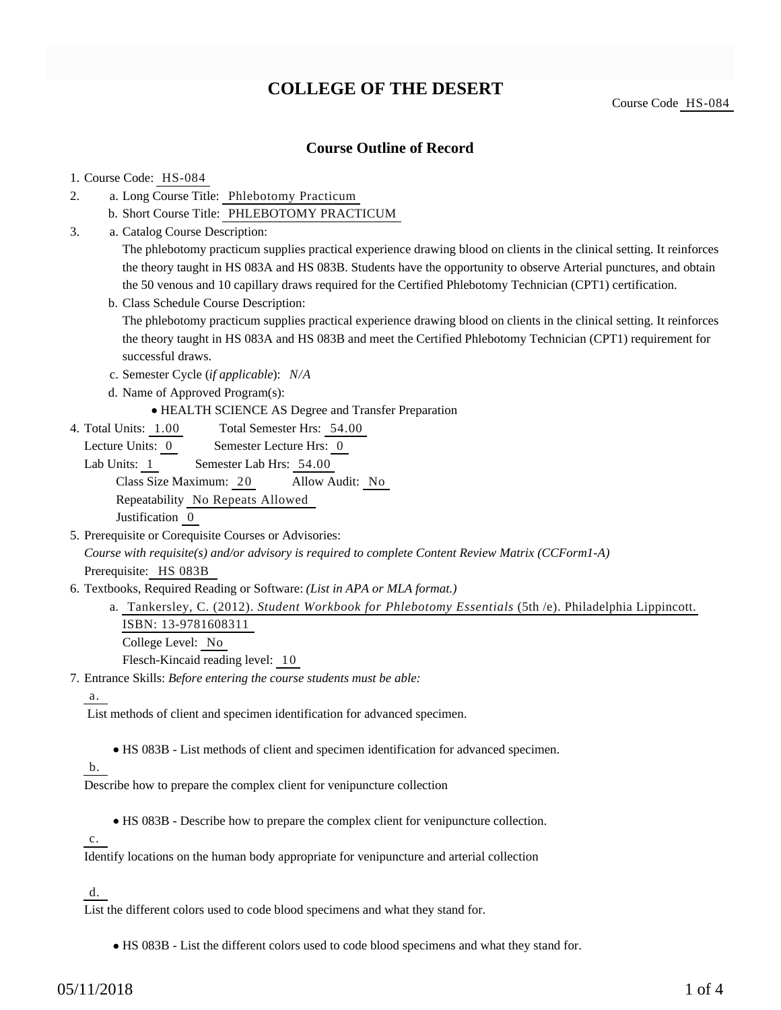# **COLLEGE OF THE DESERT**

### **Course Outline of Record**

### 1. Course Code: HS-084

- a. Long Course Title: Phlebotomy Practicum 2.
	- b. Short Course Title: PHLEBOTOMY PRACTICUM
- Catalog Course Description: a. 3.

The phlebotomy practicum supplies practical experience drawing blood on clients in the clinical setting. It reinforces the theory taught in HS 083A and HS 083B. Students have the opportunity to observe Arterial punctures, and obtain the 50 venous and 10 capillary draws required for the Certified Phlebotomy Technician (CPT1) certification.

b. Class Schedule Course Description:

The phlebotomy practicum supplies practical experience drawing blood on clients in the clinical setting. It reinforces the theory taught in HS 083A and HS 083B and meet the Certified Phlebotomy Technician (CPT1) requirement for successful draws.

- c. Semester Cycle (*if applicable*): *N/A*
- d. Name of Approved Program(s):

HEALTH SCIENCE AS Degree and Transfer Preparation

Total Semester Hrs: 54.00 4. Total Units: 1.00

Lecture Units: 0 Semester Lecture Hrs: 0

Lab Units: 1 Semester Lab Hrs: 54.00 Class Size Maximum: 20 Allow Audit: No Repeatability No Repeats Allowed Justification 0

- 5. Prerequisite or Corequisite Courses or Advisories: *Course with requisite(s) and/or advisory is required to complete Content Review Matrix (CCForm1-A)* Prerequisite: HS 083B
- 6. Textbooks, Required Reading or Software: (List in APA or MLA format.)
	- a. Tankersley, C. (2012). *Student Workbook for Phlebotomy Essentials* (5th /e). Philadelphia Lippincott. ISBN: 13-9781608311

College Level: No

Flesch-Kincaid reading level: 10

Entrance Skills: *Before entering the course students must be able:* 7.

a.

List methods of client and specimen identification for advanced specimen.

HS 083B - List methods of client and specimen identification for advanced specimen.

b.

Describe how to prepare the complex client for venipuncture collection

HS 083B - Describe how to prepare the complex client for venipuncture collection.

 $\overline{c}$ .

Identify locations on the human body appropriate for venipuncture and arterial collection

d.

List the different colors used to code blood specimens and what they stand for.

HS 083B - List the different colors used to code blood specimens and what they stand for.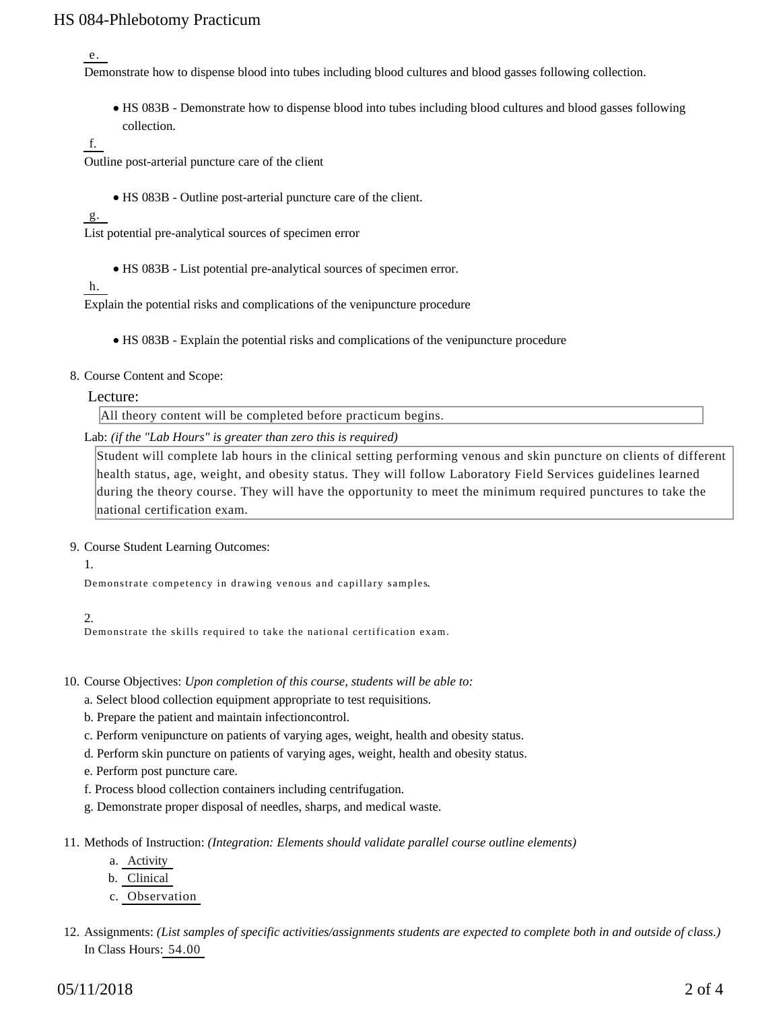# HS 084-Phlebotomy Practicum

e.

Demonstrate how to dispense blood into tubes including blood cultures and blood gasses following collection.

HS 083B - Demonstrate how to dispense blood into tubes including blood cultures and blood gasses following collection.

f.

Outline post-arterial puncture care of the client

HS 083B - Outline post-arterial puncture care of the client.

 $g$ .

List potential pre-analytical sources of specimen error

HS 083B - List potential pre-analytical sources of specimen error.

h.

Explain the potential risks and complications of the venipuncture procedure

- HS 083B Explain the potential risks and complications of the venipuncture procedure
- 8. Course Content and Scope:

#### Lecture:

All theory content will be completed before practicum begins.

Lab: *(if the "Lab Hours" is greater than zero this is required)*

Student will complete lab hours in the clinical setting performing venous and skin puncture on clients of different health status, age, weight, and obesity status. They will follow Laboratory Field Services guidelines learned during the theory course. They will have the opportunity to meet the minimum required punctures to take the national certification exam.

### 9. Course Student Learning Outcomes:

#### 1.

Demonstrate competency in drawing venous and capillary samples.

2.

Demonstrate the skills required to take the national certification exam.

10. Course Objectives: Upon completion of this course, students will be able to:

- a. Select blood collection equipment appropriate to test requisitions.
- b. Prepare the patient and maintain infectioncontrol.
- c. Perform venipuncture on patients of varying ages, weight, health and obesity status.
- d. Perform skin puncture on patients of varying ages, weight, health and obesity status.
- e. Perform post puncture care.
- f. Process blood collection containers including centrifugation.
- g. Demonstrate proper disposal of needles, sharps, and medical waste.
- 11. Methods of Instruction: *(Integration: Elements should validate parallel course outline elements)* 
	- a. Activity
	- b. Clinical
	- c. Observation
- 12. Assignments: (List samples of specific activities/assignments students are expected to complete both in and outside of class.) In Class Hours: 54.00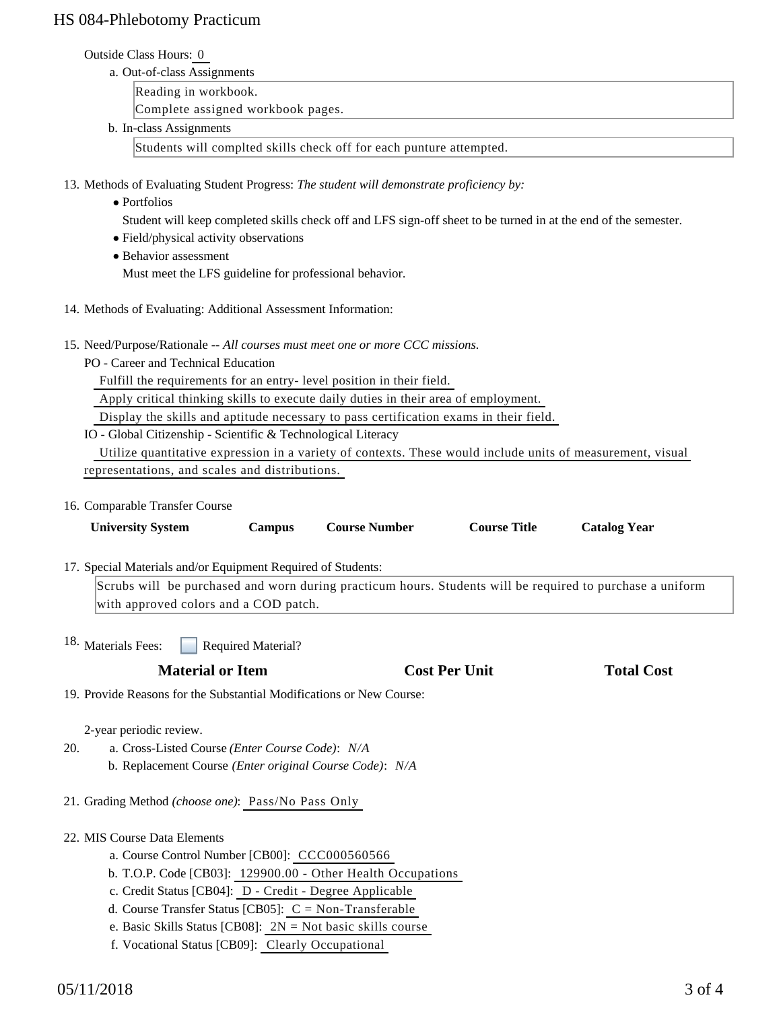# HS 084-Phlebotomy Practicum

#### Outside Class Hours: 0

a. Out-of-class Assignments

Reading in workbook.

Complete assigned workbook pages.

b. In-class Assignments

Students will complted skills check off for each punture attempted.

13. Methods of Evaluating Student Progress: The student will demonstrate proficiency by:

- Portfolios
	- Student will keep completed skills check off and LFS sign-off sheet to be turned in at the end of the semester.
- Field/physical activity observations
- Behavior assessment Must meet the LFS guideline for professional behavior.
- 
- 14. Methods of Evaluating: Additional Assessment Information:
- 15. Need/Purpose/Rationale -- All courses must meet one or more CCC missions.
	- PO Career and Technical Education

Fulfill the requirements for an entry- level position in their field.

Apply critical thinking skills to execute daily duties in their area of employment.

Display the skills and aptitude necessary to pass certification exams in their field.

IO - Global Citizenship - Scientific & Technological Literacy

 Utilize quantitative expression in a variety of contexts. These would include units of measurement, visual representations, and scales and distributions.

16. Comparable Transfer Course

|                                                  | <b>University System</b>                                                                                                                           | <b>Campus</b> | <b>Course Number</b> | <b>Course Title</b> | <b>Catalog Year</b> |  |
|--------------------------------------------------|----------------------------------------------------------------------------------------------------------------------------------------------------|---------------|----------------------|---------------------|---------------------|--|
|                                                  | 17. Special Materials and/or Equipment Required of Students:                                                                                       |               |                      |                     |                     |  |
|                                                  | Scrubs will be purchased and worn during practicum hours. Students will be required to purchase a uniform<br>with approved colors and a COD patch. |               |                      |                     |                     |  |
| 18. Materials Fees:<br><b>Required Material?</b> |                                                                                                                                                    |               |                      |                     |                     |  |

**Material or Item Cost Per Unit Total Cost Per Unit Total Cost Per Unit Total Cost Per Unit Cost Per Unit Total Cost Per Unit Cost Per Unit Cost Per Unit Cost Per Unit Cost Per Unit Cost Per Unit Cost Per Unit Cost Per Uni** 

19. Provide Reasons for the Substantial Modifications or New Course:

2-year periodic review.

- a. Cross-Listed Course *(Enter Course Code)*: *N/A* b. Replacement Course *(Enter original Course Code)*: *N/A* 20.
- 21. Grading Method *(choose one)*: Pass/No Pass Only
- 22. MIS Course Data Elements
	- a. Course Control Number [CB00]: CCC000560566
	- b. T.O.P. Code [CB03]: 129900.00 Other Health Occupations
	- c. Credit Status [CB04]: D Credit Degree Applicable
	- d. Course Transfer Status [CB05]: C = Non-Transferable
	- e. Basic Skills Status [CB08]: 2N = Not basic skills course
	- f. Vocational Status [CB09]: Clearly Occupational